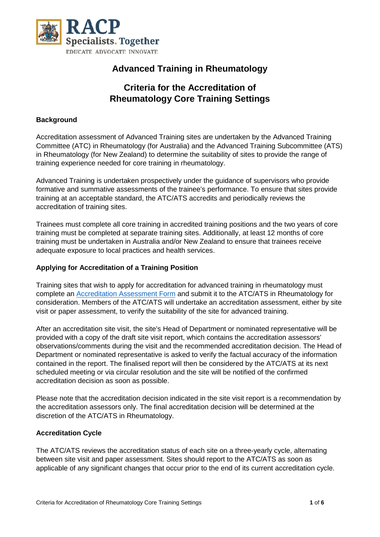

# **Advanced Training in Rheumatology**

# **Criteria for the Accreditation of Rheumatology Core Training Settings**

### **Background**

Accreditation assessment of Advanced Training sites are undertaken by the Advanced Training Committee (ATC) in Rheumatology (for Australia) and the Advanced Training Subcommittee (ATS) in Rheumatology (for New Zealand) to determine the suitability of sites to provide the range of training experience needed for core training in rheumatology.

Advanced Training is undertaken prospectively under the guidance of supervisors who provide formative and summative assessments of the trainee's performance. To ensure that sites provide training at an acceptable standard, the ATC/ATS accredits and periodically reviews the accreditation of training sites.

Trainees must complete all core training in accredited training positions and the two years of core training must be completed at separate training sites. Additionally, at least 12 months of core training must be undertaken in Australia and/or New Zealand to ensure that trainees receive adequate exposure to local practices and health services.

#### **Applying for Accreditation of a Training Position**

Training sites that wish to apply for accreditation for advanced training in rheumatology must complete an [Accreditation Assessment Form](https://www.racp.edu.au/docs/default-source/default-document-library/rheumatology-survey-form-accreditation.doc?sfvrsn=72242f1a_10) and submit it to the ATC/ATS in Rheumatology for consideration. Members of the ATC/ATS will undertake an accreditation assessment, either by site visit or paper assessment, to verify the suitability of the site for advanced training.

After an accreditation site visit, the site's Head of Department or nominated representative will be provided with a copy of the draft site visit report, which contains the accreditation assessors' observations/comments during the visit and the recommended accreditation decision. The Head of Department or nominated representative is asked to verify the factual accuracy of the information contained in the report. The finalised report will then be considered by the ATC/ATS at its next scheduled meeting or via circular resolution and the site will be notified of the confirmed accreditation decision as soon as possible.

Please note that the accreditation decision indicated in the site visit report is a recommendation by the accreditation assessors only. The final accreditation decision will be determined at the discretion of the ATC/ATS in Rheumatology.

#### **Accreditation Cycle**

The ATC/ATS reviews the accreditation status of each site on a three-yearly cycle, alternating between site visit and paper assessment. Sites should report to the ATC/ATS as soon as applicable of any significant changes that occur prior to the end of its current accreditation cycle.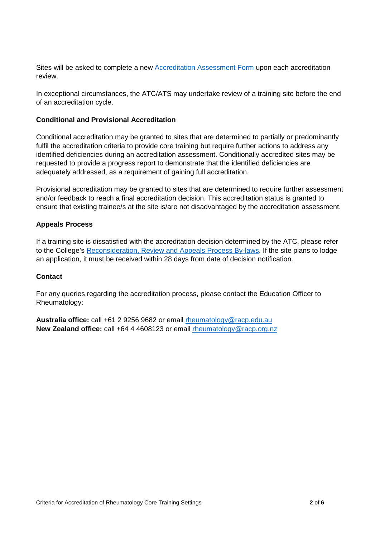Sites will be asked to complete a new [Accreditation Assessment Form](https://www.racp.edu.au/docs/default-source/default-document-library/rheumatology-survey-form-accreditation.doc?sfvrsn=72242f1a_10) upon each accreditation review.

In exceptional circumstances, the ATC/ATS may undertake review of a training site before the end of an accreditation cycle.

#### **Conditional and Provisional Accreditation**

Conditional accreditation may be granted to sites that are determined to partially or predominantly fulfil the accreditation criteria to provide core training but require further actions to address any identified deficiencies during an accreditation assessment. Conditionally accredited sites may be requested to provide a progress report to demonstrate that the identified deficiencies are adequately addressed, as a requirement of gaining full accreditation.

Provisional accreditation may be granted to sites that are determined to require further assessment and/or feedback to reach a final accreditation decision. This accreditation status is granted to ensure that existing trainee/s at the site is/are not disadvantaged by the accreditation assessment.

#### **Appeals Process**

If a training site is dissatisfied with the accreditation decision determined by the ATC, please refer to the College's [Reconsideration, Review and Appeals Process By-laws.](https://www.racp.edu.au/about/board-and-governance/by-laws) If the site plans to lodge an application, it must be received within 28 days from date of decision notification.

#### **Contact**

For any queries regarding the accreditation process, please contact the Education Officer to Rheumatology:

**Australia office:** call +61 2 9256 9682 or email [rheumatology@racp.edu.au](mailto:rheumatology@racp.edu.au) **New Zealand office:** call +64 4 4608123 or email [rheumatology@racp.org.nz](mailto:rheumatology@racp.org.nz)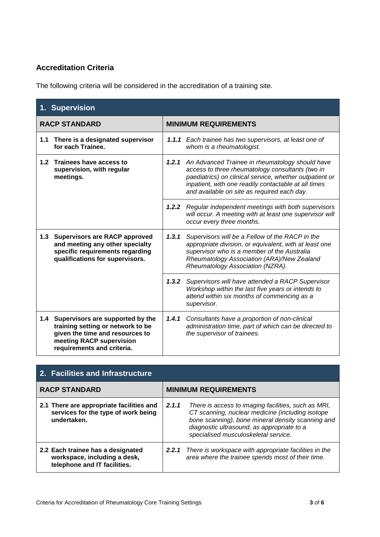### **Accreditation Criteria**

The following criteria will be considered in the accreditation of a training site.

| 1. Supervision                                                                                                                                                            |                                                                                                                                                                                                                                                                             |  |
|---------------------------------------------------------------------------------------------------------------------------------------------------------------------------|-----------------------------------------------------------------------------------------------------------------------------------------------------------------------------------------------------------------------------------------------------------------------------|--|
| <b>RACP STANDARD</b>                                                                                                                                                      | <b>MINIMUM REQUIREMENTS</b>                                                                                                                                                                                                                                                 |  |
| There is a designated supervisor<br>1.1<br>for each Trainee.                                                                                                              | 1.1.1 Each trainee has two supervisors, at least one of<br>whom is a rheumatologist.                                                                                                                                                                                        |  |
| 1.2<br>Trainees have access to<br>supervision, with regular<br>meetings.                                                                                                  | 1.2.1 An Advanced Trainee in rheumatology should have<br>access to three rheumatology consultants (two in<br>paediatrics) on clinical service, whether outpatient or<br>inpatient, with one readily contactable at all times<br>and available on site as required each day. |  |
|                                                                                                                                                                           | <b>1.2.2</b> Regular independent meetings with both supervisors<br>will occur. A meeting with at least one supervisor will<br>occur every three months.                                                                                                                     |  |
| <b>Supervisors are RACP approved</b><br>1.3<br>and meeting any other specialty<br>specific requirements regarding<br>qualifications for supervisors.                      | 1, 3, 1<br>Supervisors will be a Fellow of the RACP in the<br>appropriate division, or equivalent, with at least one<br>supervisor who is a member of the Australia<br>Rheumatology Association (ARA)/New Zealand<br>Rheumatology Association (NZRA).                       |  |
|                                                                                                                                                                           | 1.3.2 Supervisors will have attended a RACP Supervisor<br>Workshop within the last five years or intends to<br>attend within six months of commencing as a<br>supervisor.                                                                                                   |  |
| Supervisors are supported by the<br>1.4<br>training setting or network to be<br>given the time and resources to<br>meeting RACP supervision<br>requirements and criteria. | 1.4.1<br>Consultants have a proportion of non-clinical<br>administration time, part of which can be directed to<br>the supervisor of trainees.                                                                                                                              |  |

| 2. Facilities and Infrastructure                                                                  |                             |                                                                                                                                                                                                                                                    |  |
|---------------------------------------------------------------------------------------------------|-----------------------------|----------------------------------------------------------------------------------------------------------------------------------------------------------------------------------------------------------------------------------------------------|--|
| <b>RACP STANDARD</b>                                                                              | <b>MINIMUM REQUIREMENTS</b> |                                                                                                                                                                                                                                                    |  |
| 2.1 There are appropriate facilities and<br>services for the type of work being<br>undertaken.    | 2.1.1                       | There is access to imaging facilities, such as MRI,<br>CT scanning, nuclear medicine (including isotope<br>bone scanning), bone mineral density scanning and<br>diagnostic ultrasound, as appropriate to a<br>specialised musculoskeletal service. |  |
| 2.2 Each trainee has a designated<br>workspace, including a desk,<br>telephone and IT facilities. | 2.2.1                       | There is workspace with appropriate facilities in the<br>area where the trainee spends most of their time.                                                                                                                                         |  |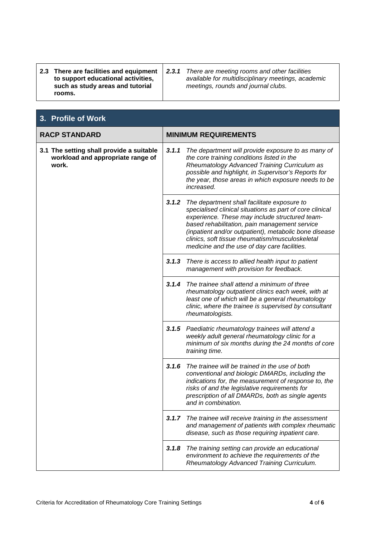|  | 2.3 There are facilities and equipment<br>to support educational activities,<br>such as study areas and tutorial<br>rooms. | 2.3.1 | There are meeting rooms and other facilities<br>available for multidisciplinary meetings, academic<br>meetings, rounds and journal clubs. |
|--|----------------------------------------------------------------------------------------------------------------------------|-------|-------------------------------------------------------------------------------------------------------------------------------------------|
|--|----------------------------------------------------------------------------------------------------------------------------|-------|-------------------------------------------------------------------------------------------------------------------------------------------|

| 3. Profile of Work                                                                     |                             |                                                                                                                                                                                                                                                                                                                                                                        |  |
|----------------------------------------------------------------------------------------|-----------------------------|------------------------------------------------------------------------------------------------------------------------------------------------------------------------------------------------------------------------------------------------------------------------------------------------------------------------------------------------------------------------|--|
| <b>RACP STANDARD</b>                                                                   | <b>MINIMUM REQUIREMENTS</b> |                                                                                                                                                                                                                                                                                                                                                                        |  |
| 3.1 The setting shall provide a suitable<br>workload and appropriate range of<br>work. | 3.1.1                       | The department will provide exposure to as many of<br>the core training conditions listed in the<br>Rheumatology Advanced Training Curriculum as<br>possible and highlight, in Supervisor's Reports for<br>the year, those areas in which exposure needs to be<br>increased.                                                                                           |  |
|                                                                                        | 3.1.2                       | The department shall facilitate exposure to<br>specialised clinical situations as part of core clinical<br>experience. These may include structured team-<br>based rehabilitation, pain management service<br>(inpatient and/or outpatient), metabolic bone disease<br>clinics, soft tissue rheumatism/musculoskeletal<br>medicine and the use of day care facilities. |  |
|                                                                                        | 3.1.3                       | There is access to allied health input to patient<br>management with provision for feedback.                                                                                                                                                                                                                                                                           |  |
|                                                                                        | 3.1.4                       | The trainee shall attend a minimum of three<br>rheumatology outpatient clinics each week, with at<br>least one of which will be a general rheumatology<br>clinic, where the trainee is supervised by consultant<br>rheumatologists.                                                                                                                                    |  |
|                                                                                        | 3.1.5                       | Paediatric rheumatology trainees will attend a<br>weekly adult general rheumatology clinic for a<br>minimum of six months during the 24 months of core<br>training time.                                                                                                                                                                                               |  |
|                                                                                        | 3.1.6                       | The trainee will be trained in the use of both<br>conventional and biologic DMARDs, including the<br>indications for, the measurement of response to, the<br>risks of and the legislative requirements for<br>prescription of all DMARDs, both as single agents<br>and in combination.                                                                                 |  |
|                                                                                        | 3.1.7                       | The trainee will receive training in the assessment<br>and management of patients with complex rheumatic<br>disease, such as those requiring inpatient care.                                                                                                                                                                                                           |  |
|                                                                                        | 3.1.8                       | The training setting can provide an educational<br>environment to achieve the requirements of the<br>Rheumatology Advanced Training Curriculum.                                                                                                                                                                                                                        |  |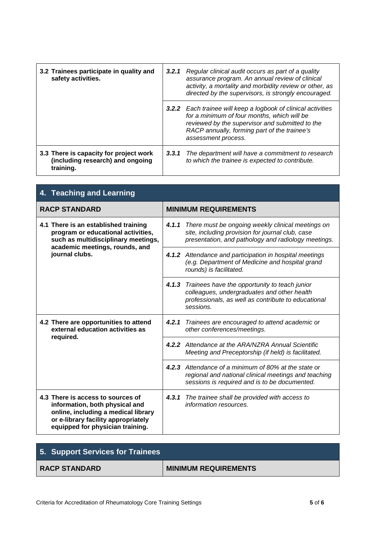| 3.2 Trainees participate in quality and<br>safety activities.                           | 3.2.1 | Regular clinical audit occurs as part of a quality<br>assurance program. An annual review of clinical<br>activity, a mortality and morbidity review or other, as<br>directed by the supervisors, is strongly encouraged.                      |
|-----------------------------------------------------------------------------------------|-------|-----------------------------------------------------------------------------------------------------------------------------------------------------------------------------------------------------------------------------------------------|
|                                                                                         |       | <b>3.2.2</b> Each trainee will keep a logbook of clinical activities<br>for a minimum of four months, which will be<br>reviewed by the supervisor and submitted to the<br>RACP annually, forming part of the trainee's<br>assessment process. |
| 3.3 There is capacity for project work<br>(including research) and ongoing<br>training. | 3,3,1 | The department will have a commitment to research<br>to which the trainee is expected to contribute.                                                                                                                                          |

| 4. Teaching and Learning                                                                                                                                                              |                                                                                                                                                                        |  |
|---------------------------------------------------------------------------------------------------------------------------------------------------------------------------------------|------------------------------------------------------------------------------------------------------------------------------------------------------------------------|--|
| <b>RACP STANDARD</b>                                                                                                                                                                  | <b>MINIMUM REQUIREMENTS</b>                                                                                                                                            |  |
| 4.1 There is an established training<br>program or educational activities,<br>such as multidisciplinary meetings,<br>academic meetings, rounds, and<br>journal clubs.                 | 4.1.1 There must be ongoing weekly clinical meetings on<br>site, including provision for journal club, case<br>presentation, and pathology and radiology meetings.     |  |
|                                                                                                                                                                                       | 4.1.2 Attendance and participation in hospital meetings<br>(e.g. Department of Medicine and hospital grand<br>rounds) is facilitated.                                  |  |
|                                                                                                                                                                                       | 4.1.3 Trainees have the opportunity to teach junior<br>colleagues, undergraduates and other health<br>professionals, as well as contribute to educational<br>sessions. |  |
| 4.2 There are opportunities to attend<br>external education activities as<br>required.                                                                                                | 4.2.1<br>Trainees are encouraged to attend academic or<br>other conferences/meetings.                                                                                  |  |
|                                                                                                                                                                                       | 4.2.2 Attendance at the ARA/NZRA Annual Scientific<br>Meeting and Preceptorship (if held) is facilitated.                                                              |  |
|                                                                                                                                                                                       | 4.2.3 Attendance of a minimum of 80% at the state or<br>regional and national clinical meetings and teaching<br>sessions is required and is to be documented.          |  |
| 4.3 There is access to sources of<br>information, both physical and<br>online, including a medical library<br>or e-library facility appropriately<br>equipped for physician training. | 4, 3, 1<br>The trainee shall be provided with access to<br>information resources.                                                                                      |  |

| 5. Support Services for Trainees |                             |
|----------------------------------|-----------------------------|
| <b>RACP STANDARD</b>             | <b>MINIMUM REQUIREMENTS</b> |